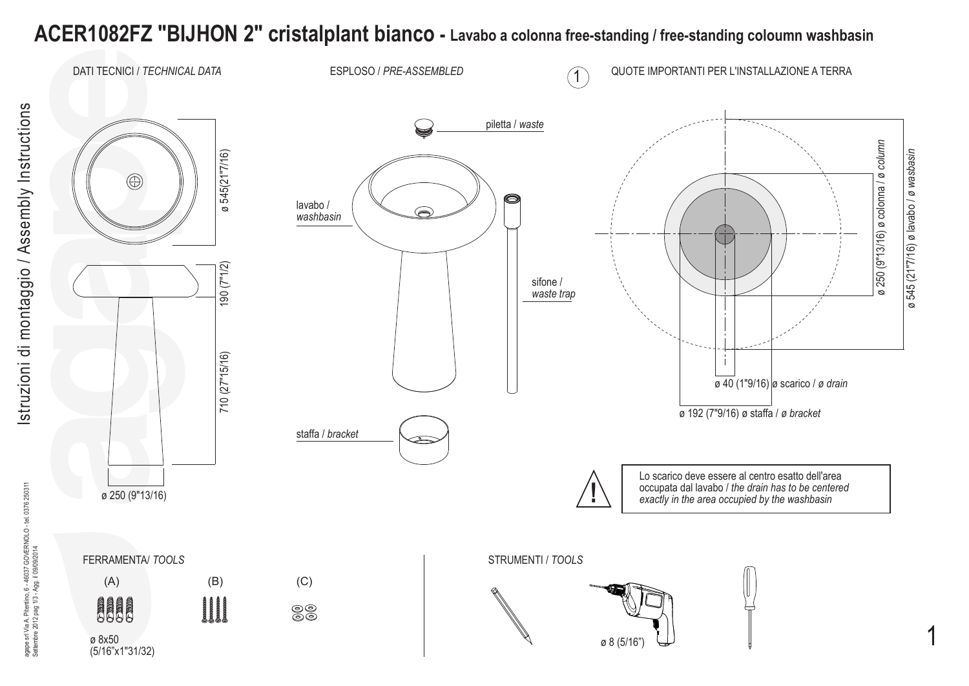## **ACER1082FZ "BIJHON 2" cristalplant bianco - Lavabo a colonna free-standing / free-standing coloumn washbasin**

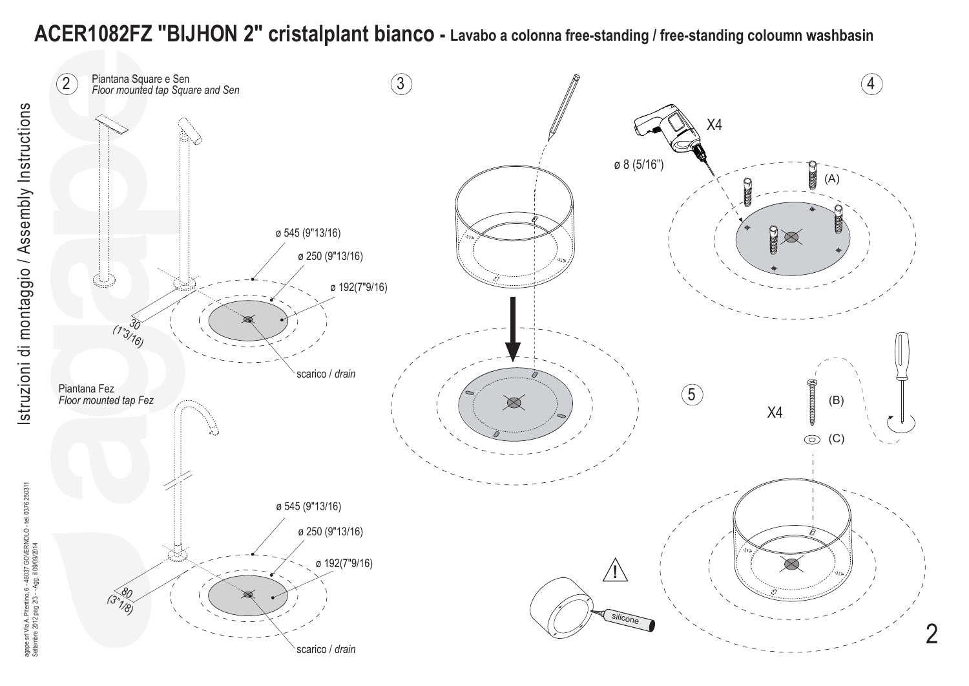## **ACER1082FZ "BIJHON 2" cristalplant bianco - Lavabo a colonna free-standing / free-standing coloumn washbasin**